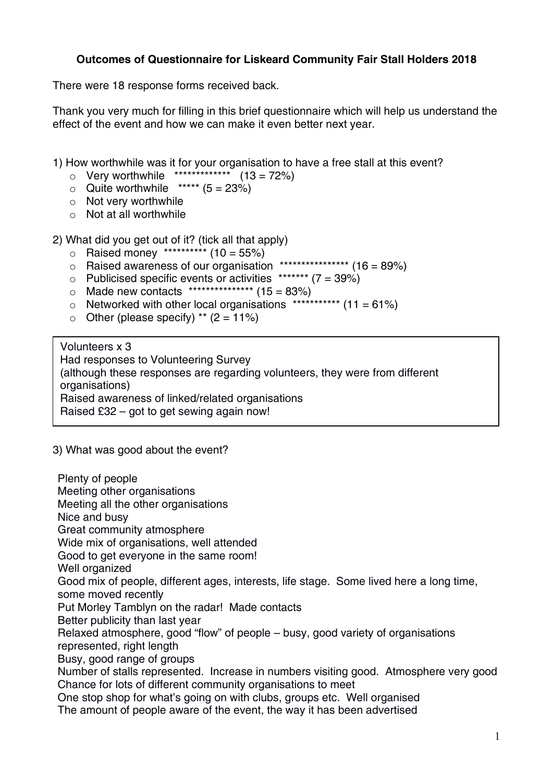## **Outcomes of Questionnaire for Liskeard Community Fair Stall Holders 2018**

There were 18 response forms received back.

Thank you very much for filling in this brief questionnaire which will help us understand the effect of the event and how we can make it even better next year.

1) How worthwhile was it for your organisation to have a free stall at this event?

- $\circ$  Very worthwhile \*\*\*\*\*\*\*\*\*\*\*\*\*\*\* (13 = 72%)
- $\circ$  Quite worthwhile \*\*\*\*\* (5 = 23%)
- o Not very worthwhile
- $\circ$  Not at all worthwhile

2) What did you get out of it? (tick all that apply)

- $\circ$  Raised money \*\*\*\*\*\*\*\*\*\* (10 = 55%)
- $\circ$  Raised awareness of our organisation \*\*\*\*\*\*\*\*\*\*\*\*\*\*\*\*\* (16 = 89%)
- $\circ$  Publicised specific events or activities \*\*\*\*\*\*\* (7 = 39%)
- $\circ$  Made new contacts \*\*\*\*\*\*\*\*\*\*\*\*\*\*\*\*\* (15 = 83%)
- $\circ$  Networked with other local organisations \*\*\*\*\*\*\*\*\*\*\* (11 = 61%)
- $\circ$  Other (please specify) \*\* (2 = 11%)

Volunteers x 3 Had responses to Volunteering Survey (although these responses are regarding volunteers, they were from different organisations) Raised awareness of linked/related organisations Raised £32 – got to get sewing again now!

## 3) What was good about the event?

Plenty of people Meeting other organisations Meeting all the other organisations Nice and busy Great community atmosphere Wide mix of organisations, well attended Good to get everyone in the same room! Well organized Good mix of people, different ages, interests, life stage. Some lived here a long time, some moved recently Put Morley Tamblyn on the radar! Made contacts Better publicity than last year Relaxed atmosphere, good "flow" of people – busy, good variety of organisations represented, right length Busy, good range of groups Number of stalls represented. Increase in numbers visiting good. Atmosphere very good Chance for lots of different community organisations to meet One stop shop for what's going on with clubs, groups etc. Well organised The amount of people aware of the event, the way it has been advertised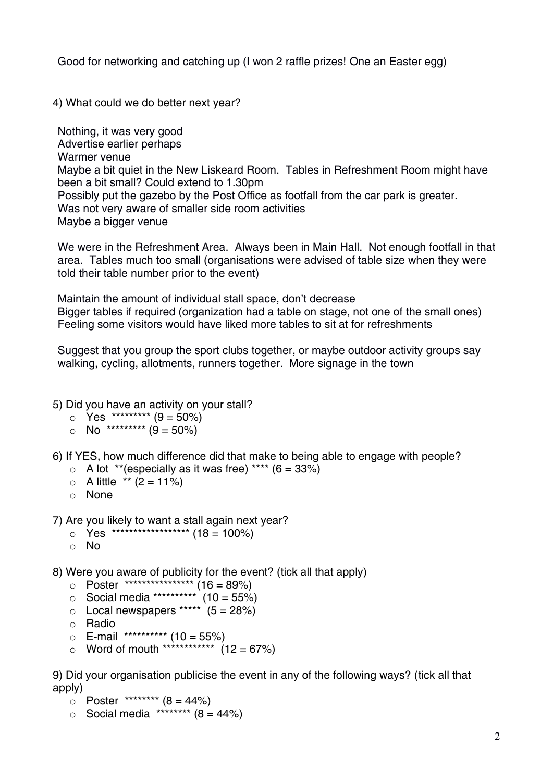Good for networking and catching up (I won 2 raffle prizes! One an Easter egg)

4) What could we do better next year?

Nothing, it was very good Advertise earlier perhaps Warmer venue Maybe a bit quiet in the New Liskeard Room. Tables in Refreshment Room might have been a bit small? Could extend to 1.30pm Possibly put the gazebo by the Post Office as footfall from the car park is greater. Was not very aware of smaller side room activities Maybe a bigger venue

We were in the Refreshment Area. Always been in Main Hall. Not enough footfall in that area. Tables much too small (organisations were advised of table size when they were told their table number prior to the event)

Maintain the amount of individual stall space, don't decrease Bigger tables if required (organization had a table on stage, not one of the small ones) Feeling some visitors would have liked more tables to sit at for refreshments

Suggest that you group the sport clubs together, or maybe outdoor activity groups say walking, cycling, allotments, runners together. More signage in the town

5) Did you have an activity on your stall?

- $\circ$  Yes \*\*\*\*\*\*\*\*\*\* (9 = 50%)
- $\circ$  No \*\*\*\*\*\*\*\*\*\* (9 = 50%)

6) If YES, how much difference did that make to being able to engage with people?

- $\circ$  A lot \*\* (especially as it was free) \*\*\*\* (6 = 33%)
- $\circ$  A little \*\* (2 = 11%)
- o None

7) Are you likely to want a stall again next year?

- $\circ$  Yes \*\*\*\*\*\*\*\*\*\*\*\*\*\*\*\*\*\*\*\*\*\*\*\* (18 = 100%)
- o No

8) Were you aware of publicity for the event? (tick all that apply)

- $\circ$  Poster \*\*\*\*\*\*\*\*\*\*\*\*\*\*\*\*\*\*\*\*\*\* (16 = 89%)
- $\frac{3}{2}$  Social media \*\*\*\*\*\*\*\*\*\*\* (10 = 55%)
- $\circ$  Local newspapers \*\*\*\*\*  $(5 = 28\%)$
- o Radio
- $\circ$  E-mail \*\*\*\*\*\*\*\*\*\*\* (10 = 55%)
- $\circ$  Word of mouth \*\*\*\*\*\*\*\*\*\*\*\*\*\*\*\* (12 = 67%)

9) Did your organisation publicise the event in any of the following ways? (tick all that apply)

- $O$  Poster \*\*\*\*\*\*\*\*\*  $(8 = 44\%)$
- $\circ$  Social media \*\*\*\*\*\*\*\*\* (8 = 44%)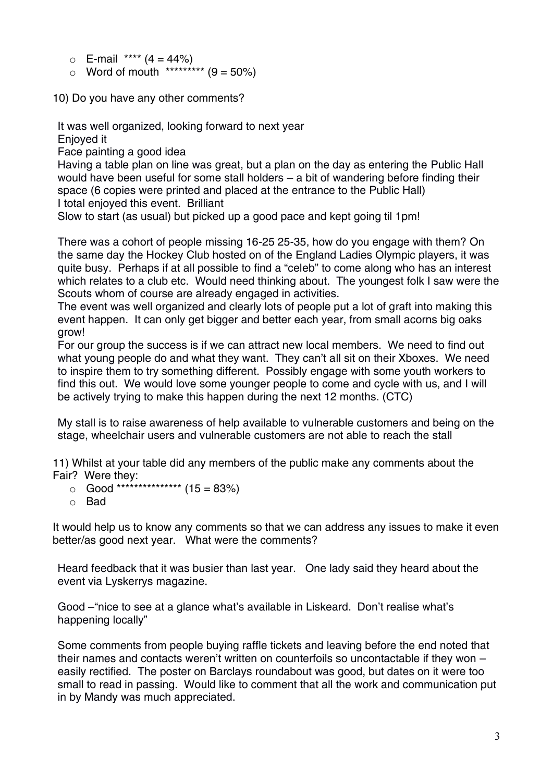- $\circ$  E-mail \*\*\*\* (4 = 44%)
- $\circ$  Word of mouth \*\*\*\*\*\*\*\*\* (9 = 50%)

10) Do you have any other comments?

It was well organized, looking forward to next year Enjoyed it

Face painting a good idea

Having a table plan on line was great, but a plan on the day as entering the Public Hall would have been useful for some stall holders – a bit of wandering before finding their space (6 copies were printed and placed at the entrance to the Public Hall) I total enjoyed this event. Brilliant

Slow to start (as usual) but picked up a good pace and kept going til 1pm!

There was a cohort of people missing 16-25 25-35, how do you engage with them? On the same day the Hockey Club hosted on of the England Ladies Olympic players, it was quite busy. Perhaps if at all possible to find a "celeb" to come along who has an interest which relates to a club etc. Would need thinking about. The youngest folk I saw were the Scouts whom of course are already engaged in activities.

The event was well organized and clearly lots of people put a lot of graft into making this event happen. It can only get bigger and better each year, from small acorns big oaks grow!

For our group the success is if we can attract new local members. We need to find out what young people do and what they want. They can't all sit on their Xboxes. We need to inspire them to try something different. Possibly engage with some youth workers to find this out. We would love some younger people to come and cycle with us, and I will be actively trying to make this happen during the next 12 months. (CTC)

My stall is to raise awareness of help available to vulnerable customers and being on the stage, wheelchair users and vulnerable customers are not able to reach the stall

11) Whilst at your table did any members of the public make any comments about the Fair? Were they:

- $\circ$  Good \*\*\*\*\*\*\*\*\*\*\*\*\*\*\*\*\*\* (15 = 83%)
- o Bad

It would help us to know any comments so that we can address any issues to make it even better/as good next year. What were the comments?

Heard feedback that it was busier than last year. One lady said they heard about the event via Lyskerrys magazine.

Good –"nice to see at a glance what's available in Liskeard. Don't realise what's happening locally"

Some comments from people buying raffle tickets and leaving before the end noted that their names and contacts weren't written on counterfoils so uncontactable if they won – easily rectified. The poster on Barclays roundabout was good, but dates on it were too small to read in passing. Would like to comment that all the work and communication put in by Mandy was much appreciated.